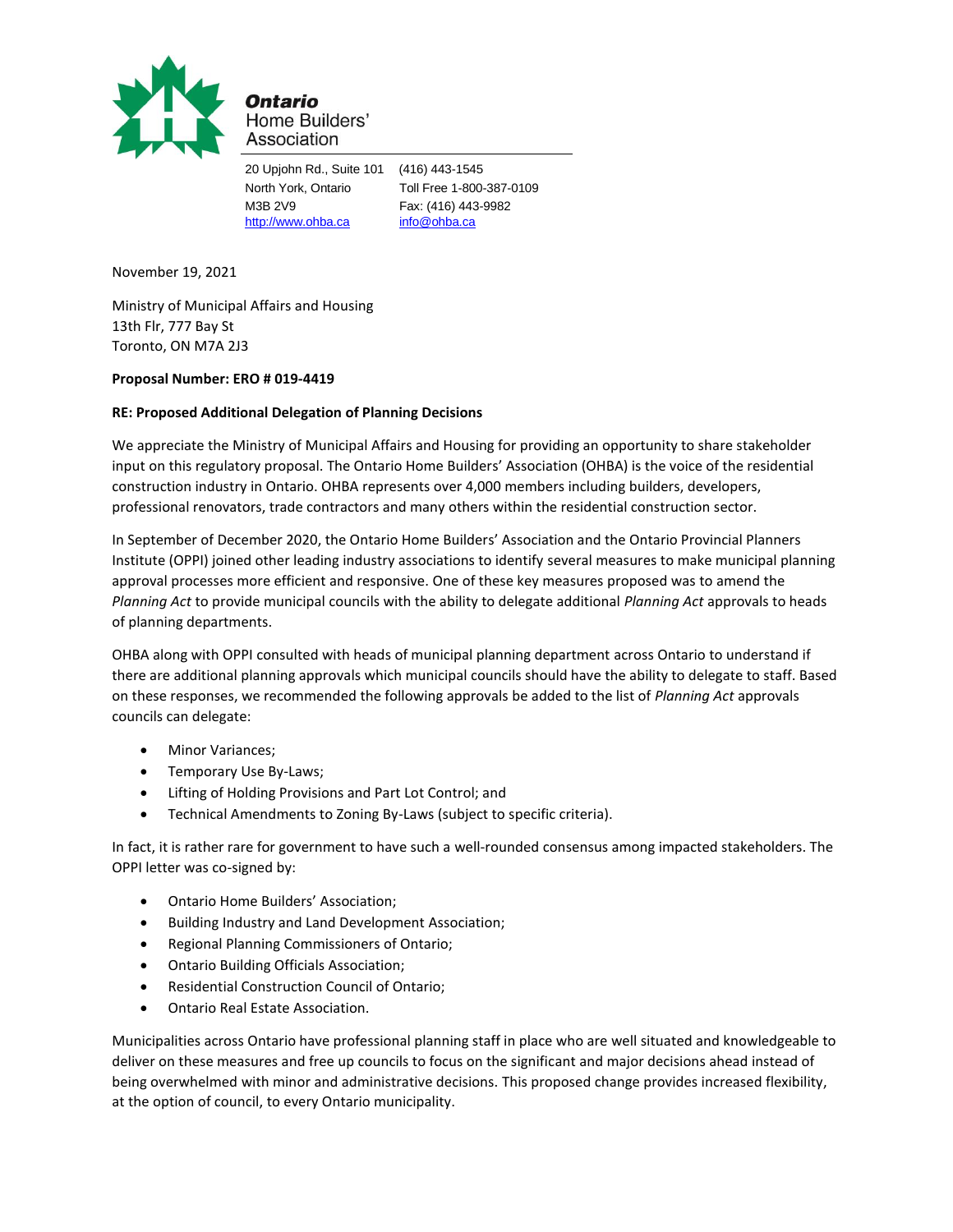

Ontario Home Builders' Association

20 Upjohn Rd., Suite 101 (416) 443-1545 M3B 2V9 Fax: (416) 443-9982 [http://www.ohba.ca](http://www.ohba.ca/) [info@ohba.ca](mailto:info@ohba.ca)

North York, Ontario Toll Free 1-800-387-0109

November 19, 2021

Ministry of Municipal Affairs and Housing 13th Flr, 777 Bay St Toronto, ON M7A 2J3

## **Proposal Number: ERO # 019-4419**

## **RE: Proposed Additional Delegation of Planning Decisions**

We appreciate the Ministry of Municipal Affairs and Housing for providing an opportunity to share stakeholder input on this regulatory proposal. The Ontario Home Builders' Association (OHBA) is the voice of the residential construction industry in Ontario. OHBA represents over 4,000 members including builders, developers, professional renovators, trade contractors and many others within the residential construction sector.

In September of December 2020, the Ontario Home Builders' Association and the Ontario Provincial Planners Institute (OPPI) joined other leading industry associations to identify several measures to make municipal planning approval processes more efficient and responsive. One of these key measures proposed was to amend the *Planning Act* to provide municipal councils with the ability to delegate additional *Planning Act* approvals to heads of planning departments.

OHBA along with OPPI consulted with heads of municipal planning department across Ontario to understand if there are additional planning approvals which municipal councils should have the ability to delegate to staff. Based on these responses, we recommended the following approvals be added to the list of *Planning Act* approvals councils can delegate:

- Minor Variances;
- Temporary Use By-Laws;
- Lifting of Holding Provisions and Part Lot Control; and
- Technical Amendments to Zoning By-Laws (subject to specific criteria).

In fact, it is rather rare for government to have such a well-rounded consensus among impacted stakeholders. The OPPI letter was co-signed by:

- Ontario Home Builders' Association;
- Building Industry and Land Development Association;
- Regional Planning Commissioners of Ontario;
- Ontario Building Officials Association;
- Residential Construction Council of Ontario;
- Ontario Real Estate Association.

Municipalities across Ontario have professional planning staff in place who are well situated and knowledgeable to deliver on these measures and free up councils to focus on the significant and major decisions ahead instead of being overwhelmed with minor and administrative decisions. This proposed change provides increased flexibility, at the option of council, to every Ontario municipality.